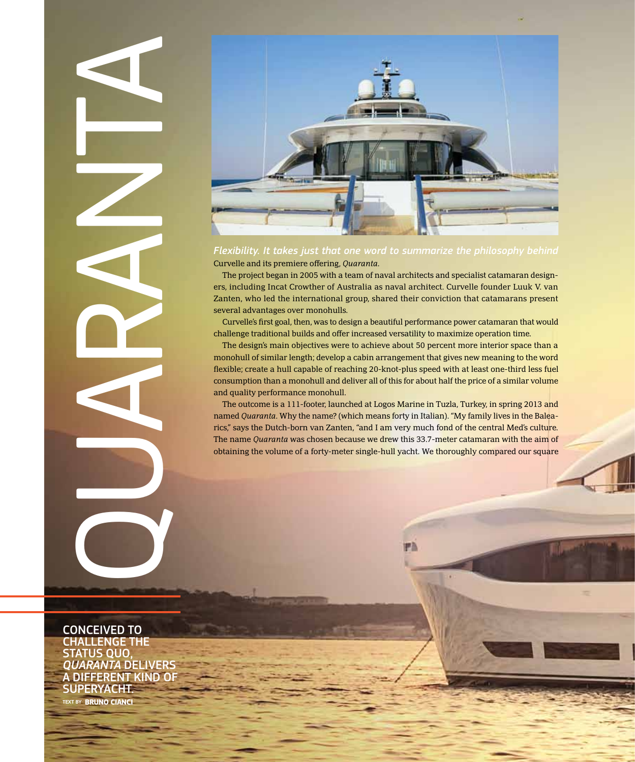



Curvelle and its premiere offering, *Quaranta*.

The project began in 2005 with a team of naval architects and specialist catamaran designers, including Incat Crowther of Australia as naval architect. Curvelle founder Luuk V. van Zanten, who led the international group, shared their conviction that catamarans present several advantages over monohulls.

Curvelle's first goal, then, was to design a beautiful performance power catamaran that would challenge traditional builds and offer increased versatility to maximize operation time.

The design's main objectives were to achieve about 50 percent more interior space than a monohull of similar length; develop a cabin arrangement that gives new meaning to the word flexible; create a hull capable of reaching 20-knot-plus speed with at least one-third less fuel consumption than a monohull and deliver all of this for about half the price of a similar volume and quality performance monohull.

The outcome is a 111-footer, launched at Logos Marine in Tuzla, Turkey, in spring 2013 and named *Quaranta*. Why the name? (which means forty in Italian). "My family lives in the Balearics," says the Dutch-born van Zanten, "and I am very much fond of the central Med's culture. The name *Quaranta* was chosen because we drew this 33.7-meter catamaran with the aim of obtaining the volume of a forty-meter single-hull yacht. We thoroughly compared our square

Conceived to challenge the status quo, *Quaranta* delivers a different kind of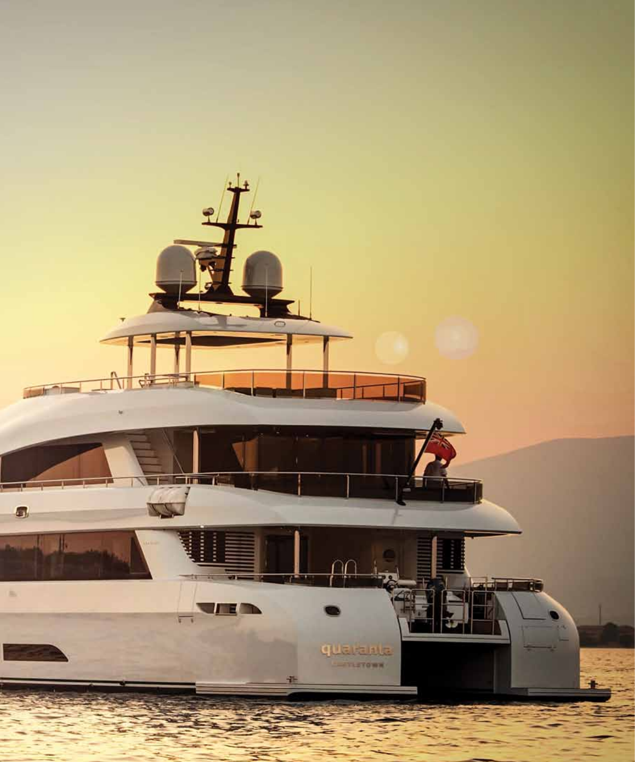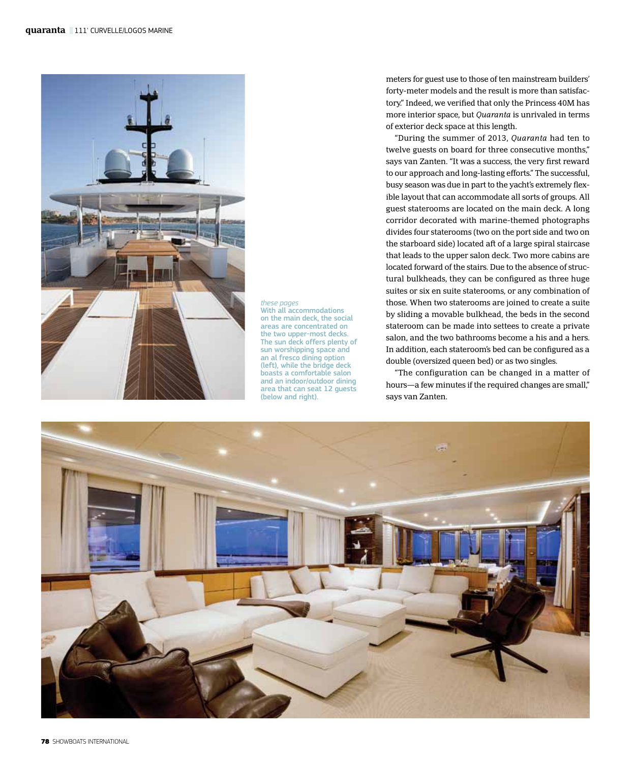

*these pages* With all accommodations on the main deck, the social areas are concentrated on the two upper-most decks. The sun deck offers plenty of sun worshipping space and an al fresco dining option (left), while the bridge deck boasts a comfortable salon and an indoor/outdoor dining area that can seat 12 guests (below and right).

meters for guest use to those of ten mainstream builders' forty-meter models and the result is more than satisfactory." Indeed, we verified that only the Princess 40M has more interior space, but *Quaranta* is unrivaled in terms of exterior deck space at this length.

"During the summer of 2013, *Quaranta* had ten to twelve guests on board for three consecutive months," says van Zanten. "It was a success, the very first reward to our approach and long-lasting efforts." The successful, busy season was due in part to the yacht's extremely flexible layout that can accommodate all sorts of groups. All guest staterooms are located on the main deck. A long corridor decorated with marine-themed photographs divides four staterooms (two on the port side and two on the starboard side) located aft of a large spiral staircase that leads to the upper salon deck. Two more cabins are located forward of the stairs. Due to the absence of structural bulkheads, they can be configured as three huge suites or six en suite staterooms, or any combination of those. When two staterooms are joined to create a suite by sliding a movable bulkhead, the beds in the second stateroom can be made into settees to create a private salon, and the two bathrooms become a his and a hers. In addition, each stateroom's bed can be configured as a double (oversized queen bed) or as two singles.

"The configuration can be changed in a matter of hours—a few minutes if the required changes are small," says van Zanten.

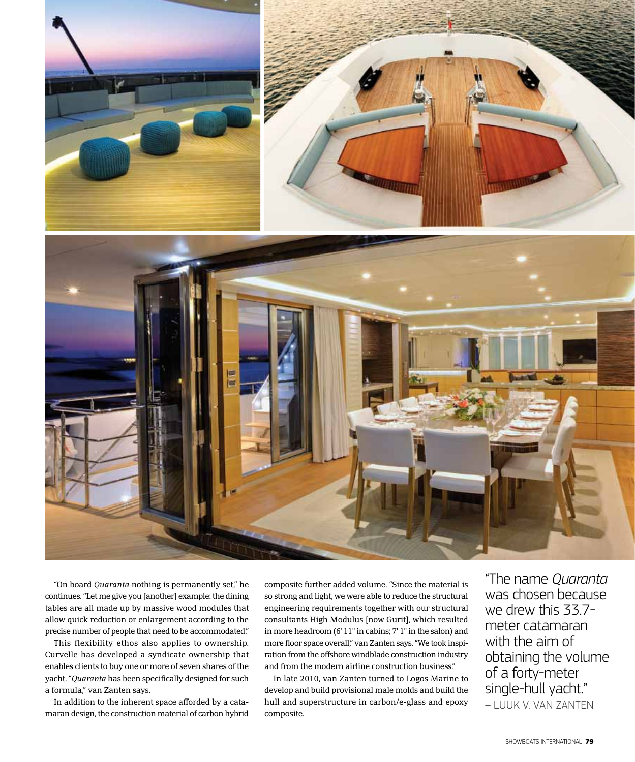

"On board *Quaranta* nothing is permanently set," he continues. "Let me give you [another] example: the dining tables are all made up by massive wood modules that allow quick reduction or enlargement according to the precise number of people that need to be accommodated."

This flexibility ethos also applies to ownership. Curvelle has developed a syndicate ownership that enables clients to buy one or more of seven shares of the yacht. "*Quaranta* has been specifically designed for such a formula," van Zanten says.

In addition to the inherent space afforded by a catamaran design, the construction material of carbon hybrid

composite further added volume. "Since the material is so strong and light, we were able to reduce the structural engineering requirements together with our structural consultants High Modulus [now Gurit], which resulted in more headroom (6' 11" in cabins; 7' 1" in the salon) and more floor space overall," van Zanten says. "We took inspiration from the offshore windblade construction industry and from the modern airline construction business."

In late 2010, van Zanten turned to Logos Marine to develop and build provisional male molds and build the hull and superstructure in carbon/e-glass and epoxy composite.

"The name *Quaranta* was chosen because we drew this 33.7 meter catamaran with the aim of obtaining the volume of a forty-meter single-hull yacht." – Luuk V. van zanten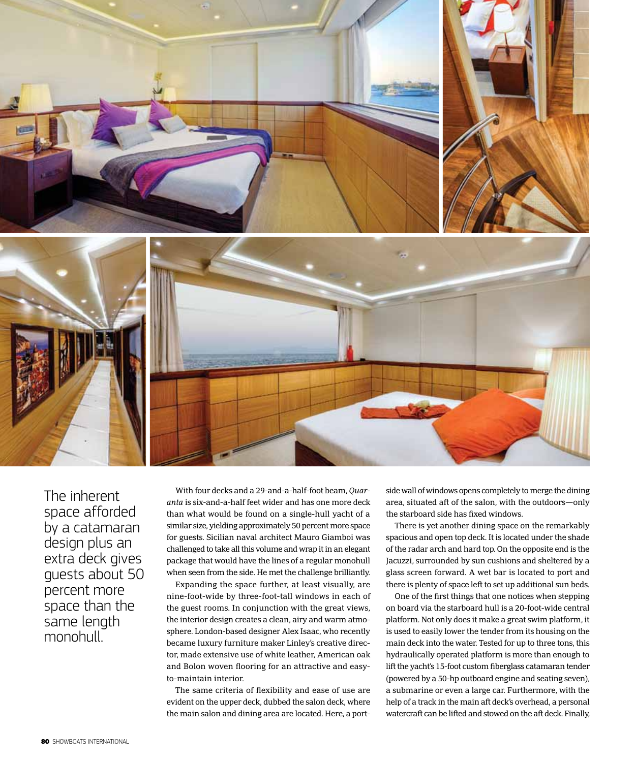

The inherent space afforded by a catamaran design plus an extra deck gives guests about 50 percent more space than the same length monohull.

With four decks and a 29-and-a-half-foot beam, *Quaranta* is six-and-a-half feet wider and has one more deck than what would be found on a single-hull yacht of a similar size, yielding approximately 50 percent more space for guests. Sicilian naval architect Mauro Giamboi was challenged to take all this volume and wrap it in an elegant package that would have the lines of a regular monohull when seen from the side. He met the challenge brilliantly.

Expanding the space further, at least visually, are nine-foot-wide by three-foot-tall windows in each of the guest rooms. In conjunction with the great views, the interior design creates a clean, airy and warm atmosphere. London-based designer Alex Isaac, who recently became luxury furniture maker Linley's creative director, made extensive use of white leather, American oak and Bolon woven flooring for an attractive and easyto-maintain interior.

The same criteria of flexibility and ease of use are evident on the upper deck, dubbed the salon deck, where the main salon and dining area are located. Here, a portside wall of windows opens completely to merge the dining area, situated aft of the salon, with the outdoors—only the starboard side has fixed windows.

There is yet another dining space on the remarkably spacious and open top deck. It is located under the shade of the radar arch and hard top. On the opposite end is the Jacuzzi, surrounded by sun cushions and sheltered by a glass screen forward. A wet bar is located to port and there is plenty of space left to set up additional sun beds.

One of the first things that one notices when stepping on board via the starboard hull is a 20-foot-wide central platform. Not only does it make a great swim platform, it is used to easily lower the tender from its housing on the main deck into the water. Tested for up to three tons, this hydraulically operated platform is more than enough to lift the yacht's 15-foot custom fiberglass catamaran tender (powered by a 50-hp outboard engine and seating seven), a submarine or even a large car. Furthermore, with the help of a track in the main aft deck's overhead, a personal watercraft can be lifted and stowed on the aft deck. Finally,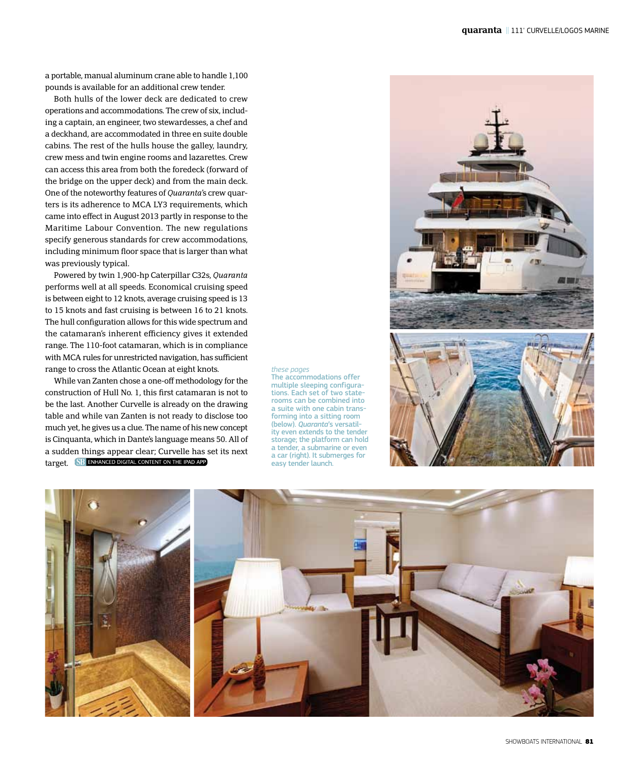a portable, manual aluminum crane able to handle 1,100 pounds is available for an additional crew tender.

Both hulls of the lower deck are dedicated to crew operations and accommodations. The crew of six, including a captain, an engineer, two stewardesses, a chef and a deckhand, are accommodated in three en suite double cabins. The rest of the hulls house the galley, laundry, crew mess and twin engine rooms and lazarettes. Crew can access this area from both the foredeck (forward of the bridge on the upper deck) and from the main deck. One of the noteworthy features of *Quaranta*'s crew quarters is its adherence to MCA LY3 requirements, which came into effect in August 2013 partly in response to the Maritime Labour Convention. The new regulations specify generous standards for crew accommodations, including minimum floor space that is larger than what was previously typical.

Powered by twin 1,900-hp Caterpillar C32s, *Quaranta* performs well at all speeds. Economical cruising speed is between eight to 12 knots, average cruising speed is 13 to 15 knots and fast cruising is between 16 to 21 knots. The hull configuration allows for this wide spectrum and the catamaran's inherent efficiency gives it extended range. The 110-foot catamaran, which is in compliance with MCA rules for unrestricted navigation, has sufficient range to cross the Atlantic Ocean at eight knots.

While van Zanten chose a one-off methodology for the construction of Hull No. 1, this first catamaran is not to be the last. Another Curvelle is already on the drawing table and while van Zanten is not ready to disclose too much yet, he gives us a clue. The name of his new concept is Cinquanta, which in Dante's language means 50. All of a sudden things appear clear; Curvelle has set its next target. **SB** ENHANCED DIGITAL CONTENT ON THE IPAD APP

*these pages*

The accommodations offer multiple sleeping configurations. Each set of two staterooms can be combined into a suite with one cabin transforming into a sitting room (below). *Quaranta*'s versatility even extends to the tender storage; the platform can hold a tender, a submarine or even a car (right). It submerges for easy tender launch.